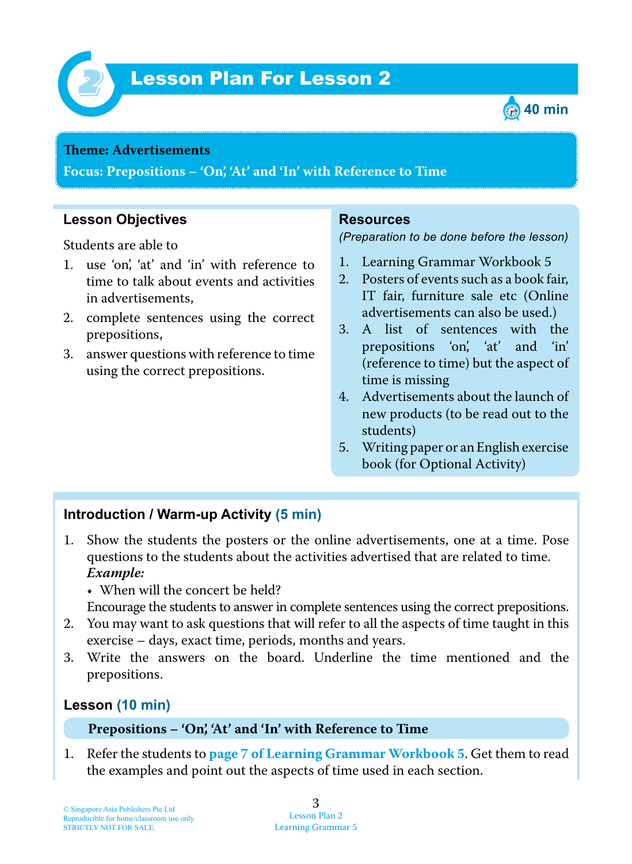



#### **Teme : Advertisements**

**Focus: Prepositions – 'On', 'At' and 'In' with Reference to Time**

### **Lesson Objectives**

Students are able to

- 1. use 'on', 'at' and 'in' with reference to time to talk about events and activities in advertisements,
- 2. complete sentences using the correct prepositions,
- 3. answer questions with reference to time using the correct prepositions.

#### **Resources**

*(Preparation to be done before the lesson)*

- 1. Learning Grammar Workbook 5
- 2. Posters of events such as a book fair, IT fair, furniture sale etc (Online advertisements can also be used.)
- 3. A list of sentences with the prepositions 'on', 'at' and 'in' (reference to time) but the aspect of time is missing
- 4. Advertisements about the launch of new products (to be read out to the students)
- 5. Writing paper or an English exercise book (for Optional Activity)

### **Introduction / Warm-up Activity (5 min)**

- 1. Show the students the posters or the online advertisements, one at a time. Pose questions to the students about the activities advertised that are related to time.  *Example:*
	- When will the concert be held?

Encourage the students to answer in complete sentences using the correct prepositions.

- 2. You may want to ask questions that will refer to all the aspects of time taught in this exercise – days, exact time, periods, months and years.
- 3. Write the answers on the board. Underline the time mentioned and the prepositions.

### **Lesson (10 min)**

#### **Prepositions – 'On', 'At' and 'In' with Reference to Time**

1. Refer the students to **page 7 of Learning Grammar Workbook 5** . Get them to read the examples and point out the aspects of time used in each section.